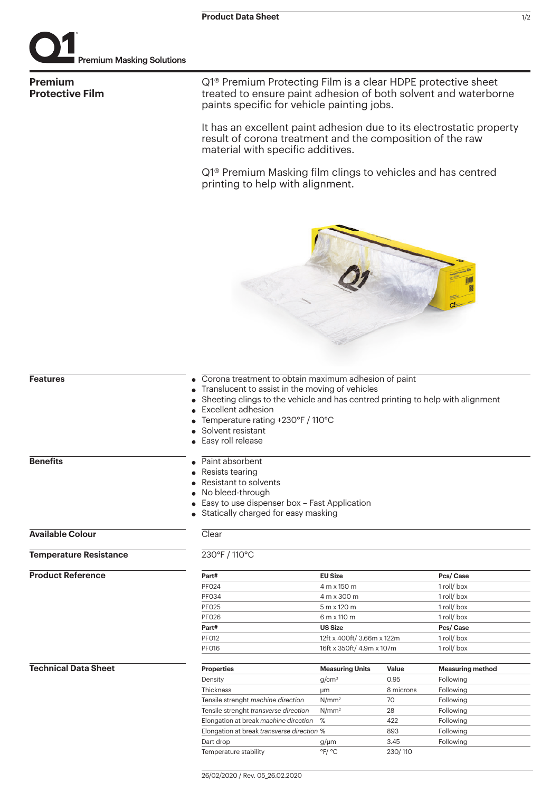

**Premium Protective Film** Q1® Premium Protecting Film is a clear HDPE protective sheet treated to ensure paint adhesion of both solvent and waterborne paints specific for vehicle painting jobs.

It has an excellent paint adhesion due to its electrostatic property result of corona treatment and the composition of the raw material with specific additives.

Q1® Premium Masking film clings to vehicles and has centred printing to help with alignment.

| <b>Features</b>               |                                                                                | • Corona treatment to obtain maximum adhesion of paint |           |                         |  |
|-------------------------------|--------------------------------------------------------------------------------|--------------------------------------------------------|-----------|-------------------------|--|
|                               | Translucent to assist in the moving of vehicles                                |                                                        |           |                         |  |
|                               | Sheeting clings to the vehicle and has centred printing to help with alignment |                                                        |           |                         |  |
|                               | Excellent adhesion                                                             |                                                        |           |                         |  |
|                               | Temperature rating +230°F / 110°C                                              |                                                        |           |                         |  |
|                               |                                                                                | Solvent resistant                                      |           |                         |  |
|                               | Easy roll release                                                              |                                                        |           |                         |  |
| <b>Benefits</b>               | Paint absorbent                                                                |                                                        |           |                         |  |
|                               | Resists tearing                                                                |                                                        |           |                         |  |
|                               | Resistant to solvents                                                          |                                                        |           |                         |  |
|                               | No bleed-through                                                               |                                                        |           |                         |  |
|                               | Easy to use dispenser box - Fast Application                                   |                                                        |           |                         |  |
|                               | • Statically charged for easy masking                                          |                                                        |           |                         |  |
| <b>Available Colour</b>       | Clear                                                                          |                                                        |           |                         |  |
| <b>Temperature Resistance</b> | 230°F / 110°C                                                                  |                                                        |           |                         |  |
| <b>Product Reference</b>      | Part#                                                                          | <b>EU Size</b>                                         |           | Pcs/Case                |  |
|                               | <b>PF024</b>                                                                   | 4 m x 150 m                                            |           | 1 roll/box              |  |
|                               | <b>PF034</b>                                                                   | 4 m x 300 m                                            |           | 1 roll/box              |  |
|                               | <b>PF025</b>                                                                   | 5 m x 120 m                                            |           | 1 roll/box              |  |
|                               | <b>PF026</b>                                                                   | 6 m x 110 m                                            |           | 1 roll/box              |  |
|                               | Part#                                                                          | <b>US Size</b>                                         |           | Pcs/Case                |  |
|                               | <b>PF012</b>                                                                   | 12ft x 400ft/3.66m x 122m                              |           | 1 roll/box              |  |
|                               | <b>PF016</b>                                                                   | 16ft x 350ft/ 4.9m x 107m                              |           | 1 roll/box              |  |
| <b>Technical Data Sheet</b>   | <b>Properties</b>                                                              | <b>Measuring Units</b>                                 | Value     | <b>Measuring method</b> |  |
|                               | Density                                                                        | g/cm <sup>3</sup>                                      | 0.95      | Following               |  |
|                               | Thickness                                                                      | μm                                                     | 8 microns | Following               |  |
|                               | Tensile strenght machine direction                                             | N/mm <sup>2</sup>                                      | 70        | Following               |  |
|                               | Tensile strenght transverse direction                                          | N/mm <sup>2</sup>                                      | 28        | Following               |  |
|                               | Elongation at break machine direction                                          | %                                                      | 422       | Following               |  |
|                               | Elongation at break transverse direction %                                     |                                                        | 893       | Following               |  |

Dart drop g/µm 3.45 Following

Temperature stability  $P^{\circ}C$  <sup>order</sup> 230/110